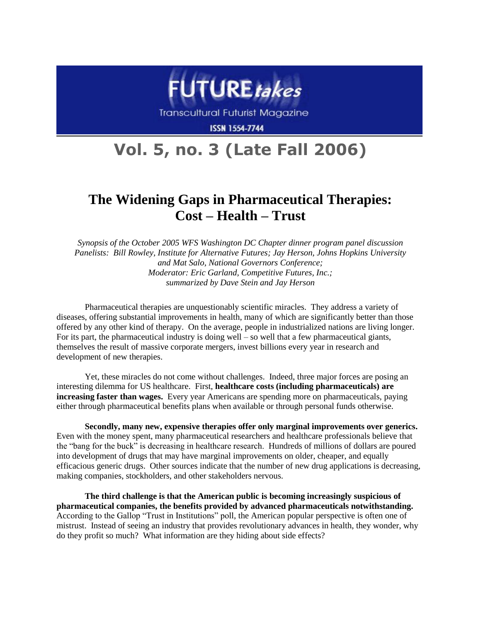

**Transcultural Futurist Magazine** 

**ISSN 1554-7744** 

# **Vol. 5, no. 3 (Late Fall 2006)**

# **The Widening Gaps in Pharmaceutical Therapies: Cost – Health – Trust**

*Synopsis of the October 2005 WFS Washington DC Chapter dinner program panel discussion Panelists: Bill Rowley, Institute for Alternative Futures; Jay Herson, Johns Hopkins University and Mat Salo, National Governors Conference; Moderator: Eric Garland, Competitive Futures, Inc.; summarized by Dave Stein and Jay Herson*

Pharmaceutical therapies are unquestionably scientific miracles. They address a variety of diseases, offering substantial improvements in health, many of which are significantly better than those offered by any other kind of therapy. On the average, people in industrialized nations are living longer. For its part, the pharmaceutical industry is doing well – so well that a few pharmaceutical giants, themselves the result of massive corporate mergers, invest billions every year in research and development of new therapies.

Yet, these miracles do not come without challenges. Indeed, three major forces are posing an interesting dilemma for US healthcare. First, **healthcare costs (including pharmaceuticals) are increasing faster than wages.** Every year Americans are spending more on pharmaceuticals, paying either through pharmaceutical benefits plans when available or through personal funds otherwise.

**Secondly, many new, expensive therapies offer only marginal improvements over generics.**  Even with the money spent, many pharmaceutical researchers and healthcare professionals believe that the "bang for the buck" is decreasing in healthcare research. Hundreds of millions of dollars are poured into development of drugs that may have marginal improvements on older, cheaper, and equally efficacious generic drugs. Other sources indicate that the number of new drug applications is decreasing, making companies, stockholders, and other stakeholders nervous.

**The third challenge is that the American public is becoming increasingly suspicious of pharmaceutical companies, the benefits provided by advanced pharmaceuticals notwithstanding.**  According to the Gallop "Trust in Institutions" poll, the American popular perspective is often one of mistrust. Instead of seeing an industry that provides revolutionary advances in health, they wonder, why do they profit so much? What information are they hiding about side effects?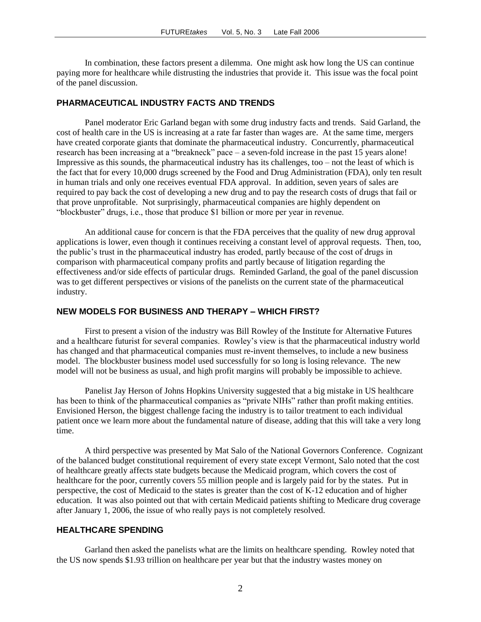In combination, these factors present a dilemma. One might ask how long the US can continue paying more for healthcare while distrusting the industries that provide it. This issue was the focal point of the panel discussion.

#### **PHARMACEUTICAL INDUSTRY FACTS AND TRENDS**

Panel moderator Eric Garland began with some drug industry facts and trends. Said Garland, the cost of health care in the US is increasing at a rate far faster than wages are. At the same time, mergers have created corporate giants that dominate the pharmaceutical industry. Concurrently, pharmaceutical research has been increasing at a "breakneck" pace – a seven-fold increase in the past 15 years alone! Impressive as this sounds, the pharmaceutical industry has its challenges, too – not the least of which is the fact that for every 10,000 drugs screened by the Food and Drug Administration (FDA), only ten result in human trials and only one receives eventual FDA approval. In addition, seven years of sales are required to pay back the cost of developing a new drug and to pay the research costs of drugs that fail or that prove unprofitable. Not surprisingly, pharmaceutical companies are highly dependent on "blockbuster" drugs, i.e., those that produce \$1 billion or more per year in revenue.

An additional cause for concern is that the FDA perceives that the quality of new drug approval applications is lower, even though it continues receiving a constant level of approval requests. Then, too, the public's trust in the pharmaceutical industry has eroded, partly because of the cost of drugs in comparison with pharmaceutical company profits and partly because of litigation regarding the effectiveness and/or side effects of particular drugs. Reminded Garland, the goal of the panel discussion was to get different perspectives or visions of the panelists on the current state of the pharmaceutical industry.

## **NEW MODELS FOR BUSINESS AND THERAPY – WHICH FIRST?**

First to present a vision of the industry was Bill Rowley of the Institute for Alternative Futures and a healthcare futurist for several companies. Rowley's view is that the pharmaceutical industry world has changed and that pharmaceutical companies must re-invent themselves, to include a new business model. The blockbuster business model used successfully for so long is losing relevance. The new model will not be business as usual, and high profit margins will probably be impossible to achieve.

Panelist Jay Herson of Johns Hopkins University suggested that a big mistake in US healthcare has been to think of the pharmaceutical companies as "private NIHs" rather than profit making entities. Envisioned Herson, the biggest challenge facing the industry is to tailor treatment to each individual patient once we learn more about the fundamental nature of disease, adding that this will take a very long time.

A third perspective was presented by Mat Salo of the National Governors Conference. Cognizant of the balanced budget constitutional requirement of every state except Vermont, Salo noted that the cost of healthcare greatly affects state budgets because the Medicaid program, which covers the cost of healthcare for the poor, currently covers 55 million people and is largely paid for by the states. Put in perspective, the cost of Medicaid to the states is greater than the cost of K-12 education and of higher education. It was also pointed out that with certain Medicaid patients shifting to Medicare drug coverage after January 1, 2006, the issue of who really pays is not completely resolved.

#### **HEALTHCARE SPENDING**

Garland then asked the panelists what are the limits on healthcare spending. Rowley noted that the US now spends \$1.93 trillion on healthcare per year but that the industry wastes money on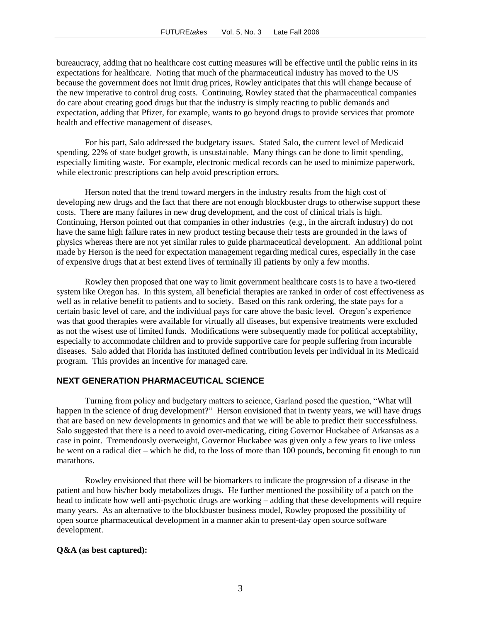bureaucracy, adding that no healthcare cost cutting measures will be effective until the public reins in its expectations for healthcare. Noting that much of the pharmaceutical industry has moved to the US because the government does not limit drug prices, Rowley anticipates that this will change because of the new imperative to control drug costs. Continuing, Rowley stated that the pharmaceutical companies do care about creating good drugs but that the industry is simply reacting to public demands and expectation, adding that Pfizer, for example, wants to go beyond drugs to provide services that promote health and effective management of diseases.

For his part, Salo addressed the budgetary issues. Stated Salo, **t**he current level of Medicaid spending, 22% of state budget growth, is unsustainable. Many things can be done to limit spending, especially limiting waste. For example, electronic medical records can be used to minimize paperwork, while electronic prescriptions can help avoid prescription errors.

Herson noted that the trend toward mergers in the industry results from the high cost of developing new drugs and the fact that there are not enough blockbuster drugs to otherwise support these costs. There are many failures in new drug development, and the cost of clinical trials is high. Continuing, Herson pointed out that companies in other industries (e.g., in the aircraft industry) do not have the same high failure rates in new product testing because their tests are grounded in the laws of physics whereas there are not yet similar rules to guide pharmaceutical development. An additional point made by Herson is the need for expectation management regarding medical cures, especially in the case of expensive drugs that at best extend lives of terminally ill patients by only a few months.

Rowley then proposed that one way to limit government healthcare costs is to have a two-tiered system like Oregon has. In this system, all beneficial therapies are ranked in order of cost effectiveness as well as in relative benefit to patients and to society. Based on this rank ordering, the state pays for a certain basic level of care, and the individual pays for care above the basic level. Oregon's experience was that good therapies were available for virtually all diseases, but expensive treatments were excluded as not the wisest use of limited funds. Modifications were subsequently made for political acceptability, especially to accommodate children and to provide supportive care for people suffering from incurable diseases. Salo added that Florida has instituted defined contribution levels per individual in its Medicaid program. This provides an incentive for managed care.

## **NEXT GENERATION PHARMACEUTICAL SCIENCE**

Turning from policy and budgetary matters to science, Garland posed the question, "What will happen in the science of drug development?" Herson envisioned that in twenty years, we will have drugs that are based on new developments in genomics and that we will be able to predict their successfulness. Salo suggested that there is a need to avoid over-medicating, citing Governor Huckabee of Arkansas as a case in point. Tremendously overweight, Governor Huckabee was given only a few years to live unless he went on a radical diet – which he did, to the loss of more than 100 pounds, becoming fit enough to run marathons.

Rowley envisioned that there will be biomarkers to indicate the progression of a disease in the patient and how his/her body metabolizes drugs. He further mentioned the possibility of a patch on the head to indicate how well anti-psychotic drugs are working – adding that these developments will require many years. As an alternative to the blockbuster business model, Rowley proposed the possibility of open source pharmaceutical development in a manner akin to present-day open source software development.

#### **Q&A (as best captured):**